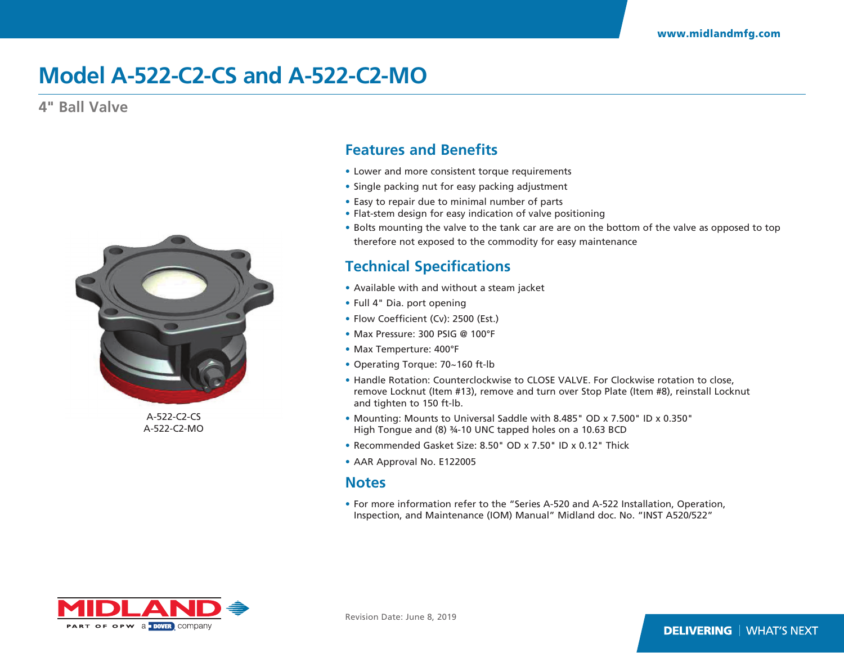## **Model A-522-C2-CS and A-522-C2-MO**

**4" Ball Valve**



A-522-C2-CS A-522-C2-MO

### **Features and Benefits**

- Lower and more consistent torque requirements
- Single packing nut for easy packing adjustment
- Easy to repair due to minimal number of parts
- Flat-stem design for easy indication of valve positioning
- Bolts mounting the valve to the tank car are are on the bottom of the valve as opposed to top therefore not exposed to the commodity for easy maintenance

### **Technical Specifications**

- Available with and without a steam jacket
- Full 4" Dia. port opening
- Flow Coefficient (Cv): 2500 (Est.)
- Max Pressure: 300 PSIG @ 100°F
- Max Temperture: 400°F
- Operating Torque: 70~160 ft-lb
- Handle Rotation: Counterclockwise to CLOSE VALVE. For Clockwise rotation to close, remove Locknut (Item #13), remove and turn over Stop Plate (Item #8), reinstall Locknut and tighten to 150 ft-lb.
- Mounting: Mounts to Universal Saddle with 8.485" OD x 7.500" ID x 0.350" High Tongue and (8) ¾-10 UNC tapped holes on a 10.63 BCD
- Recommended Gasket Size: 8.50" OD x 7.50" ID x 0.12" Thick
- AAR Approval No. E122005

#### **Notes**

• For more information refer to the "Series A-520 and A-522 Installation, Operation, Inspection, and Maintenance (IOM) Manual" Midland doc. No. "INST A520/522"